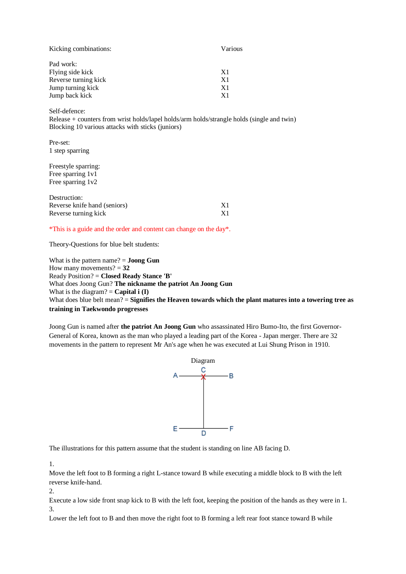| Various        |
|----------------|
|                |
| X1             |
| X <sub>1</sub> |
| X <sub>1</sub> |
| X1             |
|                |

Self-defence:

Release + counters from wrist holds/lapel holds/arm holds/strangle holds (single and twin) Blocking 10 various attacks with sticks (juniors)

Pre-set: 1 step sparring

Freestyle sparring: Free sparring 1v1 Free sparring 1v2

| Destruction:                 |    |
|------------------------------|----|
| Reverse knife hand (seniors) | X1 |
| Reverse turning kick         | X1 |

\*This is a guide and the order and content can change on the day\*.

Theory-Questions for blue belt students:

What is the pattern name? = **Joong Gun** How many movements?  $= 32$ Ready Position? = **Closed Ready Stance 'B'** What does Joong Gun? **The nickname the patriot An Joong Gun** What is the diagram?  $=$  **Capital i (I)** What does blue belt mean? = **Signifies the Heaven towards which the plant matures into a towering tree as training in Taekwondo progresses**

Joong Gun is named after **the patriot An Joong Gun** who assassinated Hiro Bumo-Ito, the first Governor-General of Korea, known as the man who played a leading part of the Korea - Japan merger. There are 32 movements in the pattern to represent Mr An's age when he was executed at Lui Shung Prison in 1910.



The illustrations for this pattern assume that the student is standing on line AB facing D.

1.

Move the left foot to B forming a right L-stance toward B while executing a middle block to B with the left reverse knife-hand.

2.

Execute a low side front snap kick to B with the left foot, keeping the position of the hands as they were in 1. 3.

Lower the left foot to B and then move the right foot to B forming a left rear foot stance toward B while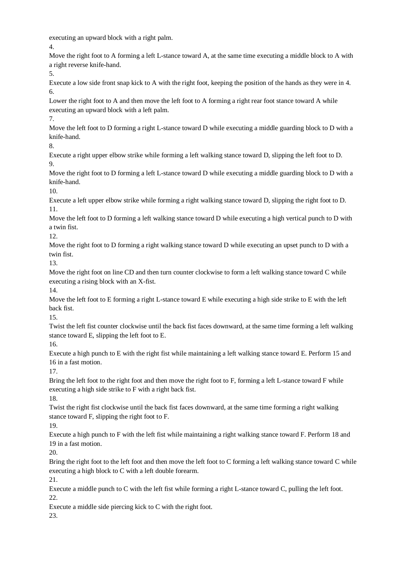executing an upward block with a right palm.

4.

Move the right foot to A forming a left L-stance toward A, at the same time executing a middle block to A with a right reverse knife-hand.

5.

Execute a low side front snap kick to A with the right foot, keeping the position of the hands as they were in 4. 6.

Lower the right foot to A and then move the left foot to A forming a right rear foot stance toward A while executing an upward block with a left palm.

7.

Move the left foot to D forming a right L-stance toward D while executing a middle guarding block to D with a knife-hand.

8.

Execute a right upper elbow strike while forming a left walking stance toward D, slipping the left foot to D.  $\mathbf Q$ 

Move the right foot to D forming a left L-stance toward D while executing a middle guarding block to D with a knife-hand.

10.

Execute a left upper elbow strike while forming a right walking stance toward D, slipping the right foot to D. 11.

Move the left foot to D forming a left walking stance toward D while executing a high vertical punch to D with a twin fist.

12.

Move the right foot to D forming a right walking stance toward D while executing an upset punch to D with a twin fist.

13.

Move the right foot on line CD and then turn counter clockwise to form a left walking stance toward C while executing a rising block with an X-fist.

14.

Move the left foot to E forming a right L-stance toward E while executing a high side strike to E with the left back fist.

15.

Twist the left fist counter clockwise until the back fist faces downward, at the same time forming a left walking stance toward E, slipping the left foot to E.

16.

Execute a high punch to E with the right fist while maintaining a left walking stance toward E. Perform 15 and 16 in a fast motion.

17.

Bring the left foot to the right foot and then move the right foot to F, forming a left L-stance toward F while executing a high side strike to F with a right back fist. 18.

Twist the right fist clockwise until the back fist faces downward, at the same time forming a right walking

stance toward F, slipping the right foot to F.

19.

Execute a high punch to F with the left fist while maintaining a right walking stance toward F. Perform 18 and 19 in a fast motion.

20.

Bring the right foot to the left foot and then move the left foot to C forming a left walking stance toward C while executing a high block to C with a left double forearm.

21.

Execute a middle punch to C with the left fist while forming a right L-stance toward C, pulling the left foot. 22.

Execute a middle side piercing kick to C with the right foot.

23.